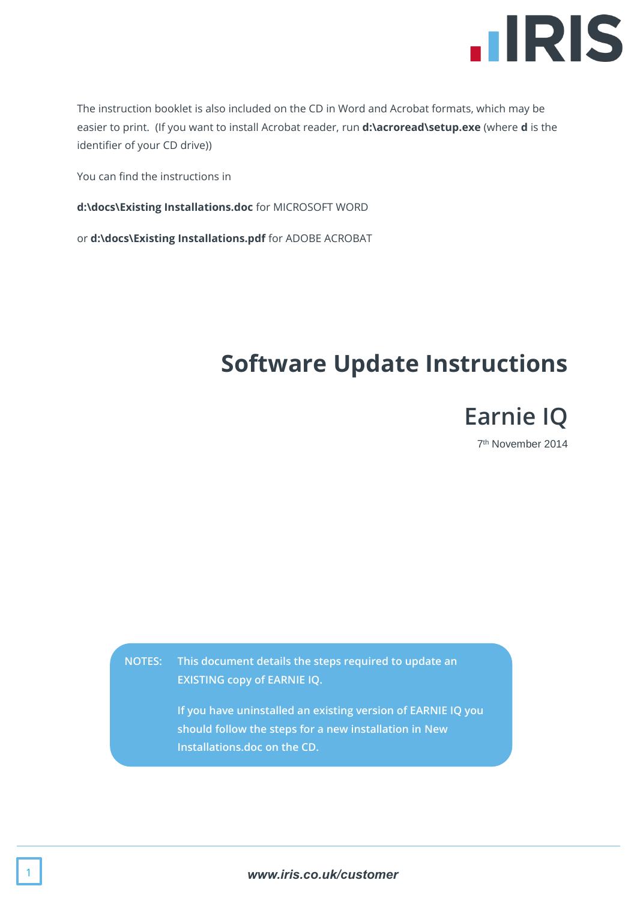

The instruction booklet is also included on the CD in Word and Acrobat formats, which may be easier to print. (If you want to install Acrobat reader, run **d:\acroread\setup.exe** (where **d** is the identifier of your CD drive))

You can find the instructions in

**d:\docs\Existing Installations.doc** for MICROSOFT WORD

or **d:\docs\Existing Installations.pdf** for ADOBE ACROBAT

# **Software Update Instructions**



7 th November 2014

**NOTES: This document details the steps required to update an EXISTING copy of EARNIE IQ.**

> **If you have uninstalled an existing version of EARNIE IQ you should follow the steps for a new installation in New Installations.doc on the CD.**

> > 1 *www.iris.co.uk/customer*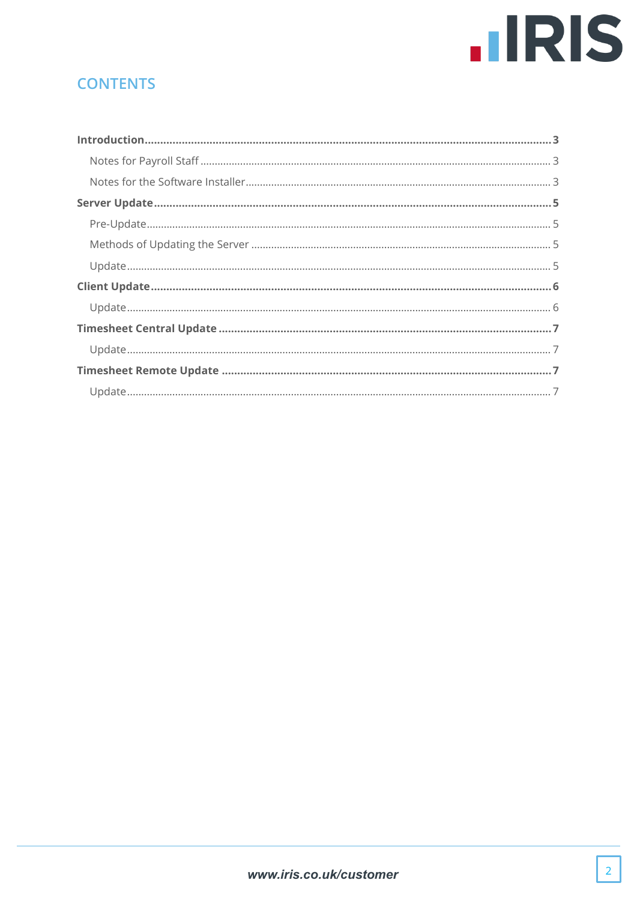# **IIRIS**

# **CONTENTS**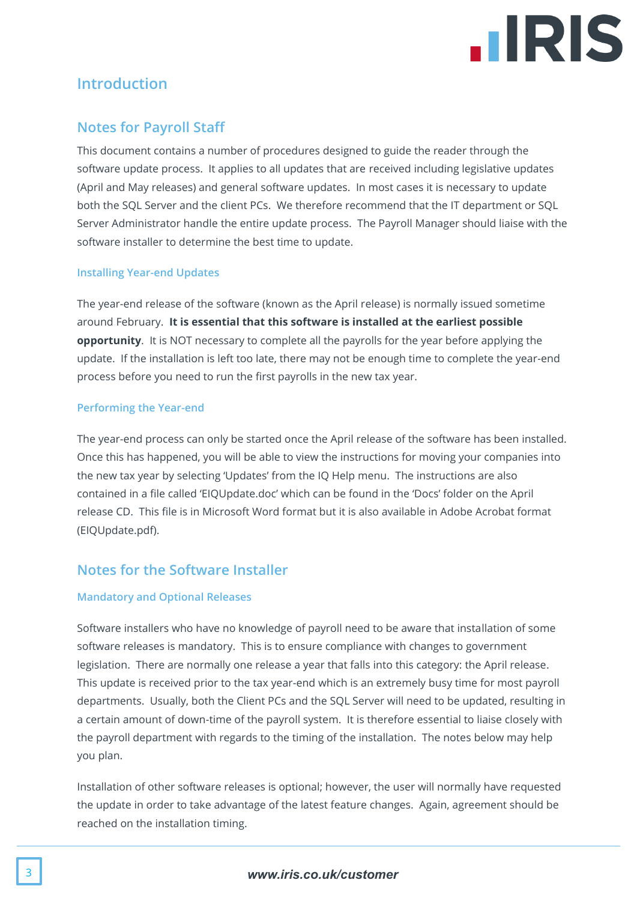

# <span id="page-2-0"></span>**Introduction**

#### <span id="page-2-1"></span>**Notes for Payroll Staff**

This document contains a number of procedures designed to guide the reader through the software update process. It applies to all updates that are received including legislative updates (April and May releases) and general software updates. In most cases it is necessary to update both the SQL Server and the client PCs. We therefore recommend that the IT department or SQL Server Administrator handle the entire update process. The Payroll Manager should liaise with the software installer to determine the best time to update.

#### **Installing Year-end Updates**

The year-end release of the software (known as the April release) is normally issued sometime around February. **It is essential that this software is installed at the earliest possible opportunity**. It is NOT necessary to complete all the payrolls for the year before applying the update. If the installation is left too late, there may not be enough time to complete the year-end process before you need to run the first payrolls in the new tax year.

#### **Performing the Year-end**

The year-end process can only be started once the April release of the software has been installed. Once this has happened, you will be able to view the instructions for moving your companies into the new tax year by selecting 'Updates' from the IQ Help menu. The instructions are also contained in a file called 'EIQUpdate.doc' which can be found in the 'Docs' folder on the April release CD. This file is in Microsoft Word format but it is also available in Adobe Acrobat format (EIQUpdate.pdf).

#### <span id="page-2-2"></span>**Notes for the Software Installer**

#### **Mandatory and Optional Releases**

Software installers who have no knowledge of payroll need to be aware that installation of some software releases is mandatory. This is to ensure compliance with changes to government legislation. There are normally one release a year that falls into this category: the April release. This update is received prior to the tax year-end which is an extremely busy time for most payroll departments. Usually, both the Client PCs and the SQL Server will need to be updated, resulting in a certain amount of down-time of the payroll system. It is therefore essential to liaise closely with the payroll department with regards to the timing of the installation. The notes below may help you plan.

Installation of other software releases is optional; however, the user will normally have requested the update in order to take advantage of the latest feature changes. Again, agreement should be reached on the installation timing.

#### 3 *www.iris.co.uk/customer*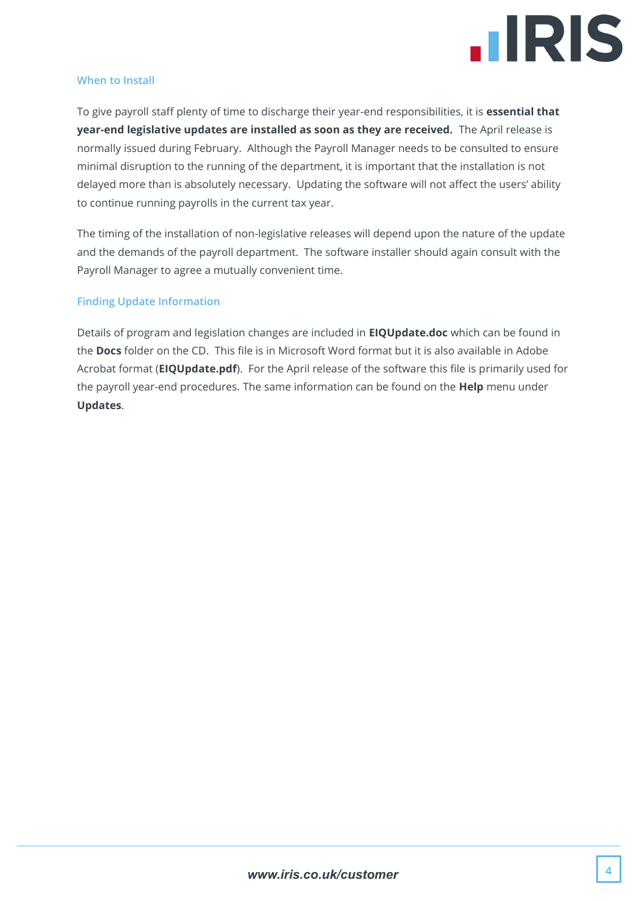

#### **When to Install**

To give payroll staff plenty of time to discharge their year-end responsibilities, it is **essential that year-end legislative updates are installed as soon as they are received.** The April release is normally issued during February. Although the Payroll Manager needs to be consulted to ensure minimal disruption to the running of the department, it is important that the installation is not delayed more than is absolutely necessary. Updating the software will not affect the users' ability to continue running payrolls in the current tax year.

The timing of the installation of non-legislative releases will depend upon the nature of the update and the demands of the payroll department. The software installer should again consult with the Payroll Manager to agree a mutually convenient time.

#### **Finding Update Information**

Details of program and legislation changes are included in **EIQUpdate.doc** which can be found in the **Docs** folder on the CD. This file is in Microsoft Word format but it is also available in Adobe Acrobat format (**EIQUpdate.pdf**). For the April release of the software this file is primarily used for the payroll year-end procedures. The same information can be found on the **Help** menu under **Updates**.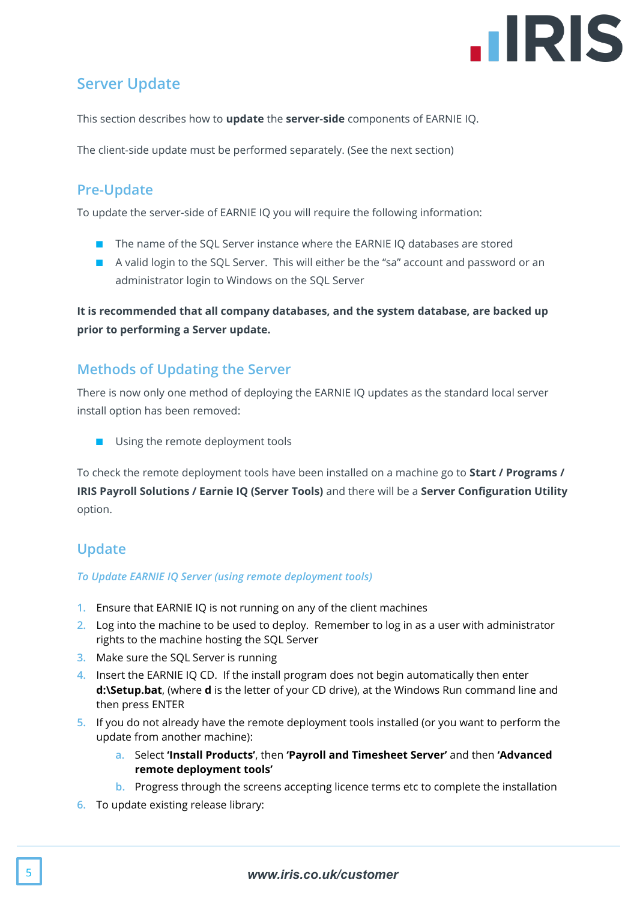

# <span id="page-4-0"></span>**Server Update**

This section describes how to **update** the **server-side** components of EARNIE IQ.

The client-side update must be performed separately. (See the next section)

# <span id="page-4-1"></span>**Pre-Update**

To update the server-side of EARNIE IQ you will require the following information:

- The name of the SQL Server instance where the EARNIE IQ databases are stored
- A valid login to the SQL Server. This will either be the "sa" account and password or an administrator login to Windows on the SQL Server

**It is recommended that all company databases, and the system database, are backed up prior to performing a Server update.**

#### <span id="page-4-2"></span>**Methods of Updating the Server**

There is now only one method of deploying the EARNIE IQ updates as the standard local server install option has been removed:

■ Using the remote deployment tools

To check the remote deployment tools have been installed on a machine go to **Start / Programs / IRIS Payroll Solutions / Earnie IQ (Server Tools)** and there will be a **Server Configuration Utility** option.

# <span id="page-4-3"></span>**Update**

#### *To Update EARNIE IQ Server (using remote deployment tools)*

- **1.** Ensure that EARNIE IQ is not running on any of the client machines
- **2.** Log into the machine to be used to deploy. Remember to log in as a user with administrator rights to the machine hosting the SQL Server
- **3.** Make sure the SQL Server is running
- **4.** Insert the EARNIE IQ CD. If the install program does not begin automatically then enter **d:\Setup.bat**, (where **d** is the letter of your CD drive), at the Windows Run command line and then press ENTER
- **5.** If you do not already have the remote deployment tools installed (or you want to perform the update from another machine):
	- **a.** Select **'Install Products'**, then **'Payroll and Timesheet Server'** and then **'Advanced remote deployment tools'**
	- **b.** Progress through the screens accepting licence terms etc to complete the installation
- **6.** To update existing release library: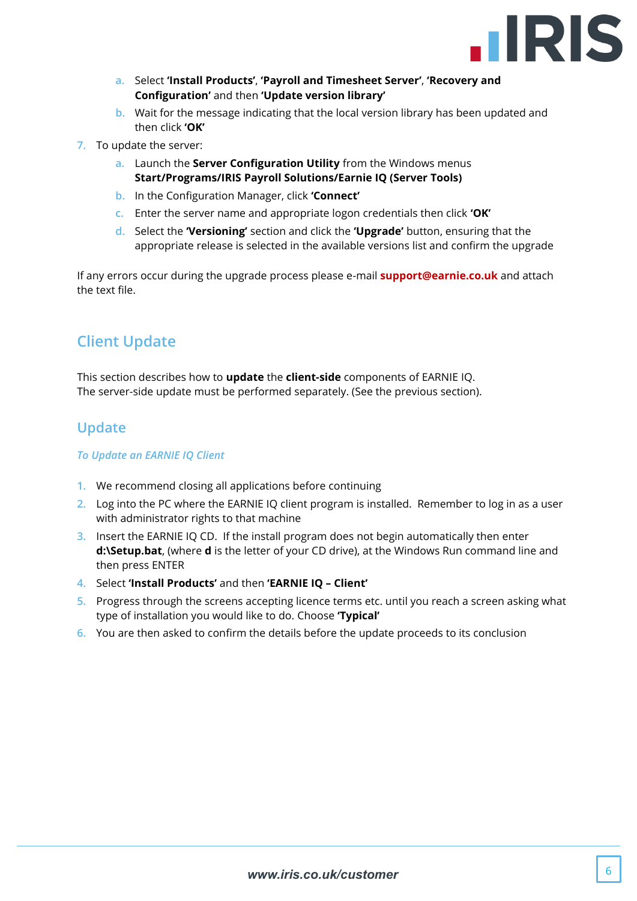

- **a.** Select **'Install Products'**, **'Payroll and Timesheet Server'**, **'Recovery and Configuration'** and then **'Update version library'**
- **b.** Wait for the message indicating that the local version library has been updated and then click **'OK'**
- **7.** To update the server:
	- **a.** Launch the **Server Configuration Utility** from the Windows menus **Start/Programs/IRIS Payroll Solutions/Earnie IQ (Server Tools)**
	- **b.** In the Configuration Manager, click **'Connect'**
	- **c.** Enter the server name and appropriate logon credentials then click **'OK'**
	- **d.** Select the **'Versioning'** section and click the **'Upgrade'** button, ensuring that the appropriate release is selected in the available versions list and confirm the upgrade

If any errors occur during the upgrade process please e-mail **[support@earnie.co.uk](mailto:support@earnie.co.uk)** and attach the text file.

# <span id="page-5-0"></span>**Client Update**

This section describes how to **update** the **client-side** components of EARNIE IQ. The server-side update must be performed separately. (See the previous section).

#### <span id="page-5-1"></span>**Update**

#### *To Update an EARNIE IQ Client*

- **1.** We recommend closing all applications before continuing
- **2.** Log into the PC where the EARNIE IQ client program is installed. Remember to log in as a user with administrator rights to that machine
- **3.** Insert the EARNIE IQ CD. If the install program does not begin automatically then enter **d:\Setup.bat**, (where **d** is the letter of your CD drive), at the Windows Run command line and then press ENTER
- **4.** Select **'Install Products'** and then **'EARNIE IQ – Client'**
- **5.** Progress through the screens accepting licence terms etc. until you reach a screen asking what type of installation you would like to do. Choose **'Typical'**
- **6.** You are then asked to confirm the details before the update proceeds to its conclusion